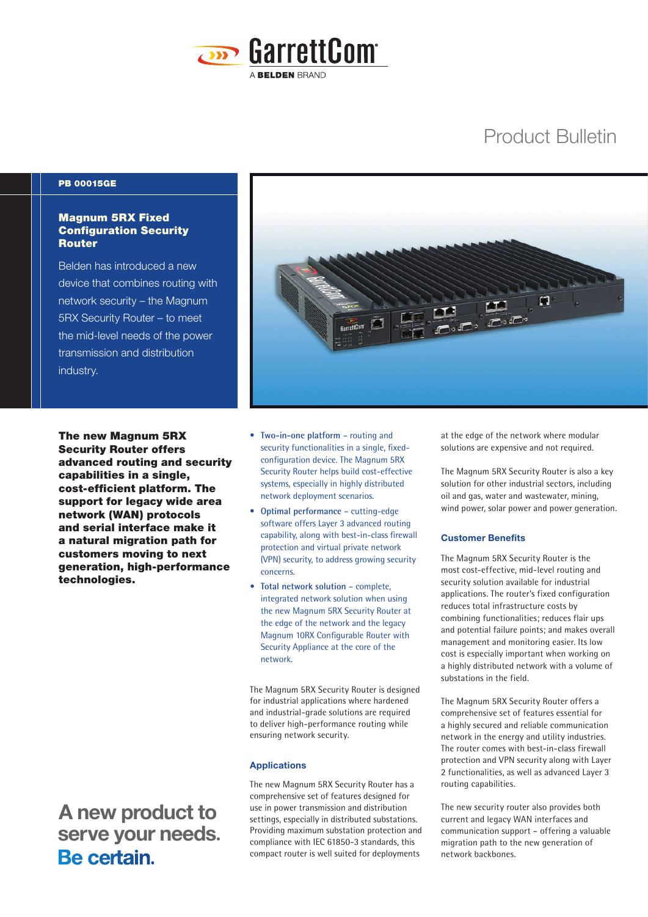

# Product Bulletin

## PB 00015GE

# Magnum 5RX Fixed Configuration Security **Router**

Belden has introduced a new device that combines routing with network security – the Magnum 5RX Security Router – to meet the mid-level needs of the power transmission and distribution industry.



The new Magnum 5RX Security Router offers advanced routing and security capabilities in a single, cost-efficient platform. The support for legacy wide area network (WAN) protocols and serial interface make it a natural migration path for customers moving to next generation, high-performance technologies.

 **A new product to** serve your needs.<br>**Be certain**.

- **Two-in-one platform**  routing and security functionalities in a single, fixedconfiguration device. The Magnum 5RX Security Router helps build cost-effective systems, especially in highly distributed network deployment scenarios.
- **Optimal performance**  cutting-edge software offers Layer 3 advanced routing capability, along with best-in-class firewall protection and virtual private network (VPN) security, to address growing security concerns.
- **• Total network solution**  complete, integrated network solution when using the new Magnum 5RX Security Router at the edge of the network and the legacy Magnum 10RX Configurable Router with Security Appliance at the core of the network.

The Magnum 5RX Security Router is designed for industrial applications where hardened and industrial-grade solutions are required to deliver high-performance routing while ensuring network security.

#### **Applications**

The new Magnum 5RX Security Router has a comprehensive set of features designed for use in power transmission and distribution settings, especially in distributed substations. Providing maximum substation protection and compliance with IEC 61850-3 standards, this compact router is well suited for deployments

at the edge of the network where modular solutions are expensive and not required.

The Magnum 5RX Security Router is also a key solution for other industrial sectors, including oil and gas, water and wastewater, mining, wind power, solar power and power generation.

### **Customer Benefits**

The Magnum 5RX Security Router is the most cost-effective, mid-level routing and security solution available for industrial applications. The router's fixed configuration reduces total infrastructure costs by combining functionalities; reduces flair ups and potential failure points; and makes overall management and monitoring easier. Its low cost is especially important when working on a highly distributed network with a volume of substations in the field.

The Magnum 5RX Security Router offers a comprehensive set of features essential for a highly secured and reliable communication network in the energy and utility industries. The router comes with best-in-class firewall protection and VPN security along with Layer 2 functionalities, as well as advanced Layer 3 routing capabilities.

The new security router also provides both current and legacy WAN interfaces and communication support – offering a valuable migration path to the new generation of network backbones.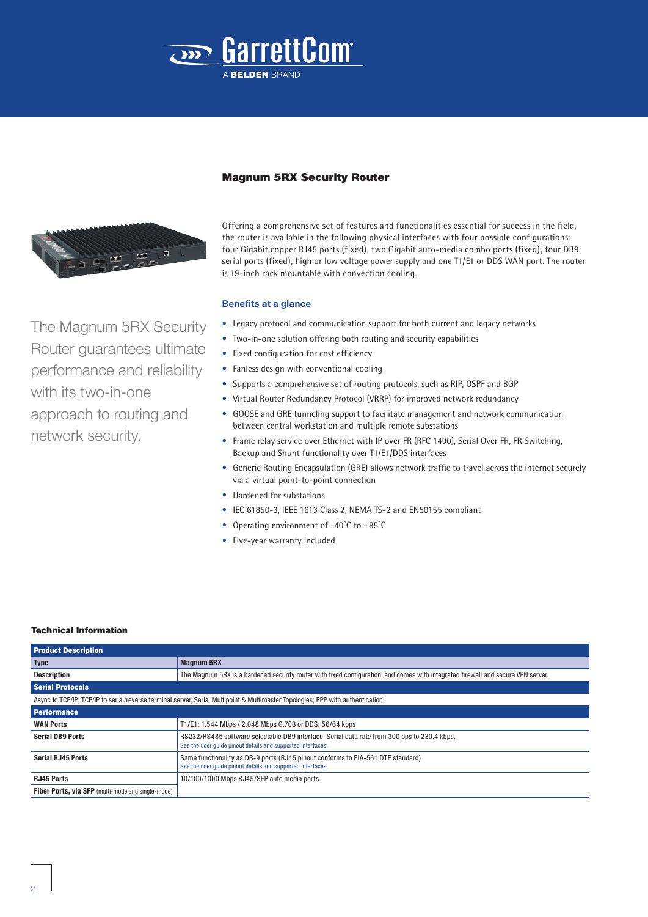



The Magnum 5RX Security Router guarantees ultimate performance and reliability with its two-in-one approach to routing and network security.

## Magnum 5RX Security Router

Offering a comprehensive set of features and functionalities essential for success in the field, the router is available in the following physical interfaces with four possible configurations: four Gigabit copper RJ45 ports (fixed), two Gigabit auto-media combo ports (fixed), four DB9 serial ports (fixed), high or low voltage power supply and one T1/E1 or DDS WAN port. The router is 19-inch rack mountable with convection cooling.

## **Benefits at a glance**

- Legacy protocol and communication support for both current and legacy networks
- Two-in-one solution offering both routing and security capabilities
- Fixed configuration for cost efficiency
- Fanless design with conventional cooling
- Supports a comprehensive set of routing protocols, such as RIP, OSPF and BGP
- Virtual Router Redundancy Protocol (VRRP) for improved network redundancy
- GOOSE and GRE tunneling support to facilitate management and network communication between central workstation and multiple remote substations
- Frame relay service over Ethernet with IP over FR (RFC 1490), Serial Over FR, FR Switching, Backup and Shunt functionality over T1/E1/DDS interfaces
- Generic Routing Encapsulation (GRE) allows network traffic to travel across the internet securely via a virtual point-to-point connection
- Hardened for substations
- IEC 61850-3, IEEE 1613 Class 2, NEMA TS-2 and EN50155 compliant
- Operating environment of -40˚C to +85˚C
- Five-year warranty included

#### Technical Information

| <b>Product Description</b>                                                                                                      |                                                                                                                                                            |  |
|---------------------------------------------------------------------------------------------------------------------------------|------------------------------------------------------------------------------------------------------------------------------------------------------------|--|
| <b>Type</b>                                                                                                                     | <b>Magnum 5RX</b>                                                                                                                                          |  |
| <b>Description</b>                                                                                                              | The Magnum 5RX is a hardened security router with fixed configuration, and comes with integrated firewall and secure VPN server.                           |  |
| <b>Serial Protocols</b>                                                                                                         |                                                                                                                                                            |  |
| Async to TCP/IP; TCP/IP to serial/reverse terminal server, Serial Multipoint & Multimaster Topologies; PPP with authentication. |                                                                                                                                                            |  |
| <b>Performance</b>                                                                                                              |                                                                                                                                                            |  |
| <b>WAN Ports</b>                                                                                                                | T1/E1: 1.544 Mbps / 2.048 Mbps G.703 or DDS: 56/64 kbps                                                                                                    |  |
| <b>Serial DB9 Ports</b>                                                                                                         | RS232/RS485 software selectable DB9 interface. Serial data rate from 300 bps to 230.4 kbps.<br>See the user quide pinout details and supported interfaces. |  |
| <b>Serial RJ45 Ports</b>                                                                                                        | Same functionality as DB-9 ports (RJ45 pinout conforms to EIA-561 DTE standard)<br>See the user quide pinout details and supported interfaces.             |  |
| <b>RJ45 Ports</b>                                                                                                               | 10/100/1000 Mbps RJ45/SFP auto media ports.                                                                                                                |  |
| Fiber Ports, via SFP (multi-mode and single-mode)                                                                               |                                                                                                                                                            |  |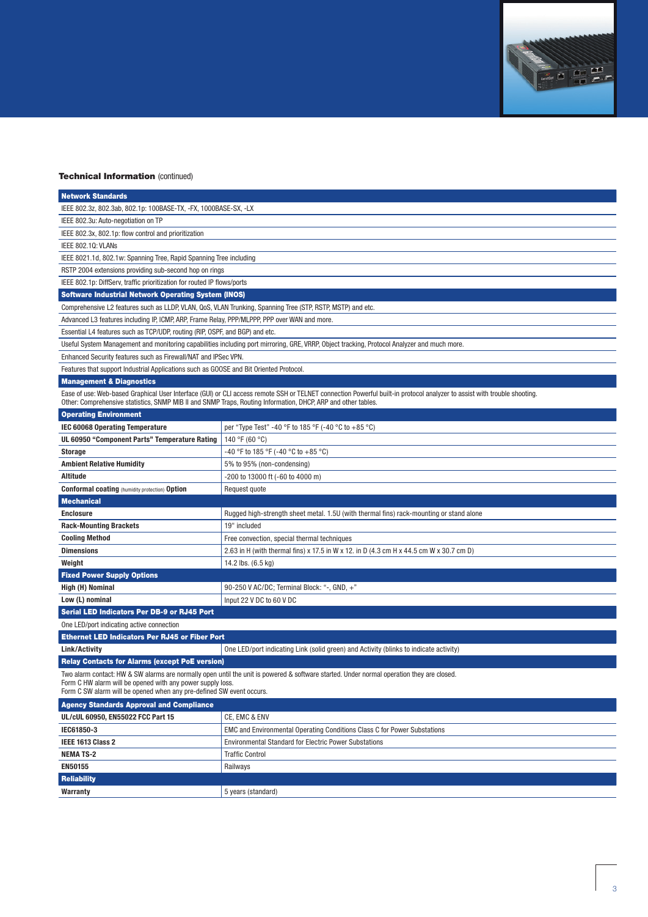

## **Technical Information (continued)**

| <b>Network Standards</b>                                                                                                                                                                                                                                                                  |                                                                                                                                             |  |
|-------------------------------------------------------------------------------------------------------------------------------------------------------------------------------------------------------------------------------------------------------------------------------------------|---------------------------------------------------------------------------------------------------------------------------------------------|--|
| IEEE 802.3z, 802.3ab, 802.1p: 100BASE-TX, -FX, 1000BASE-SX, -LX                                                                                                                                                                                                                           |                                                                                                                                             |  |
| IEEE 802.3u: Auto-negotiation on TP                                                                                                                                                                                                                                                       |                                                                                                                                             |  |
| IEEE 802.3x, 802.1p: flow control and prioritization                                                                                                                                                                                                                                      |                                                                                                                                             |  |
| IEEE 802.10: VLANs                                                                                                                                                                                                                                                                        |                                                                                                                                             |  |
| IEEE 8021.1d, 802.1w: Spanning Tree, Rapid Spanning Tree including                                                                                                                                                                                                                        |                                                                                                                                             |  |
| RSTP 2004 extensions providing sub-second hop on rings                                                                                                                                                                                                                                    |                                                                                                                                             |  |
| IEEE 802.1p: DiffServ, traffic prioritization for routed IP flows/ports                                                                                                                                                                                                                   |                                                                                                                                             |  |
| <b>Software Industrial Network Operating System (INOS)</b>                                                                                                                                                                                                                                |                                                                                                                                             |  |
| Comprehensive L2 features such as LLDP, VLAN, QoS, VLAN Trunking, Spanning Tree (STP, RSTP, MSTP) and etc.                                                                                                                                                                                |                                                                                                                                             |  |
| Advanced L3 features including IP, ICMP, ARP, Frame Relay, PPP/MLPPP, PPP over WAN and more.                                                                                                                                                                                              |                                                                                                                                             |  |
| Essential L4 features such as TCP/UDP, routing (RIP, OSPF, and BGP) and etc.                                                                                                                                                                                                              |                                                                                                                                             |  |
|                                                                                                                                                                                                                                                                                           | Useful System Management and monitoring capabilities including port mirroring, GRE, VRRP, Object tracking, Protocol Analyzer and much more. |  |
| Enhanced Security features such as Firewall/NAT and IPSec VPN.                                                                                                                                                                                                                            |                                                                                                                                             |  |
| Features that support Industrial Applications such as GOOSE and Bit Oriented Protocol.                                                                                                                                                                                                    |                                                                                                                                             |  |
| <b>Management &amp; Diagnostics</b>                                                                                                                                                                                                                                                       |                                                                                                                                             |  |
| Ease of use: Web-based Graphical User Interface (GUI) or CLI access remote SSH or TELNET connection Powerful built-in protocol analyzer to assist with trouble shooting.<br>Other: Comprehensive statistics, SNMP MIB II and SNMP Traps, Routing Information, DHCP, ARP and other tables. |                                                                                                                                             |  |
| <b>Operating Environment</b>                                                                                                                                                                                                                                                              |                                                                                                                                             |  |
| <b>IEC 60068 Operating Temperature</b>                                                                                                                                                                                                                                                    | per "Type Test" -40 °F to 185 °F (-40 °C to +85 °C)                                                                                         |  |
| UL 60950 "Component Parts" Temperature Rating                                                                                                                                                                                                                                             | 140 °F (60 °C)                                                                                                                              |  |
| <b>Storage</b>                                                                                                                                                                                                                                                                            | -40 °F to 185 °F (-40 °C to +85 °C)                                                                                                         |  |
| <b>Ambient Relative Humidity</b>                                                                                                                                                                                                                                                          | 5% to 95% (non-condensing)                                                                                                                  |  |
| <b>Altitude</b>                                                                                                                                                                                                                                                                           | -200 to 13000 ft (-60 to 4000 m)                                                                                                            |  |
| <b>Conformal coating</b> (humidity protection) Option                                                                                                                                                                                                                                     | Request quote                                                                                                                               |  |
| <b>Mechanical</b>                                                                                                                                                                                                                                                                         |                                                                                                                                             |  |
| <b>Enclosure</b>                                                                                                                                                                                                                                                                          | Rugged high-strength sheet metal. 1.5U (with thermal fins) rack-mounting or stand alone                                                     |  |
| <b>Rack-Mounting Brackets</b>                                                                                                                                                                                                                                                             | 19" included                                                                                                                                |  |
| <b>Cooling Method</b>                                                                                                                                                                                                                                                                     | Free convection, special thermal techniques                                                                                                 |  |
| <b>Dimensions</b>                                                                                                                                                                                                                                                                         | 2.63 in H (with thermal fins) x 17.5 in W x 12. in D (4.3 cm H x 44.5 cm W x 30.7 cm D)                                                     |  |
| Weight                                                                                                                                                                                                                                                                                    | 14.2 lbs. (6.5 kg)                                                                                                                          |  |
| <b>Fixed Power Supply Options</b>                                                                                                                                                                                                                                                         |                                                                                                                                             |  |
| High (H) Nominal                                                                                                                                                                                                                                                                          | 90-250 V AC/DC; Terminal Block: "-, GND, +"                                                                                                 |  |
| Low (L) nominal                                                                                                                                                                                                                                                                           | Input 22 V DC to 60 V DC                                                                                                                    |  |
| <b>Serial LED Indicators Per DB-9 or RJ45 Port</b>                                                                                                                                                                                                                                        |                                                                                                                                             |  |
| One LED/port indicating active connection                                                                                                                                                                                                                                                 |                                                                                                                                             |  |
| <b>Ethernet LED Indicators Per RJ45 or Fiber Port</b>                                                                                                                                                                                                                                     |                                                                                                                                             |  |
| <b>Link/Activity</b>                                                                                                                                                                                                                                                                      | One LED/port indicating Link (solid green) and Activity (blinks to indicate activity)                                                       |  |
| <b>Relay Contacts for Alarms (except PoE version)</b>                                                                                                                                                                                                                                     |                                                                                                                                             |  |
| Two alarm contact: HW & SW alarms are normally open until the unit is powered & software started. Under normal operation they are closed<br>Form C HW alarm will be opened with any power supply loss.<br>Form C SW alarm will be opened when any pre-defined SW event occurs.            |                                                                                                                                             |  |
| <b>Agency Standards Approval and Compliance</b>                                                                                                                                                                                                                                           |                                                                                                                                             |  |
| UL/cUL 60950, EN55022 FCC Part 15                                                                                                                                                                                                                                                         | CE, EMC & ENV                                                                                                                               |  |
| IEC61850-3                                                                                                                                                                                                                                                                                | EMC and Environmental Operating Conditions Class C for Power Substations                                                                    |  |
| IEEE 1613 Class 2                                                                                                                                                                                                                                                                         | <b>Environmental Standard for Electric Power Substations</b>                                                                                |  |
| <b>NEMA TS-2</b>                                                                                                                                                                                                                                                                          | <b>Traffic Control</b>                                                                                                                      |  |
| <b>EN50155</b>                                                                                                                                                                                                                                                                            | Railways                                                                                                                                    |  |
| <b>PERMITTEN</b>                                                                                                                                                                                                                                                                          |                                                                                                                                             |  |